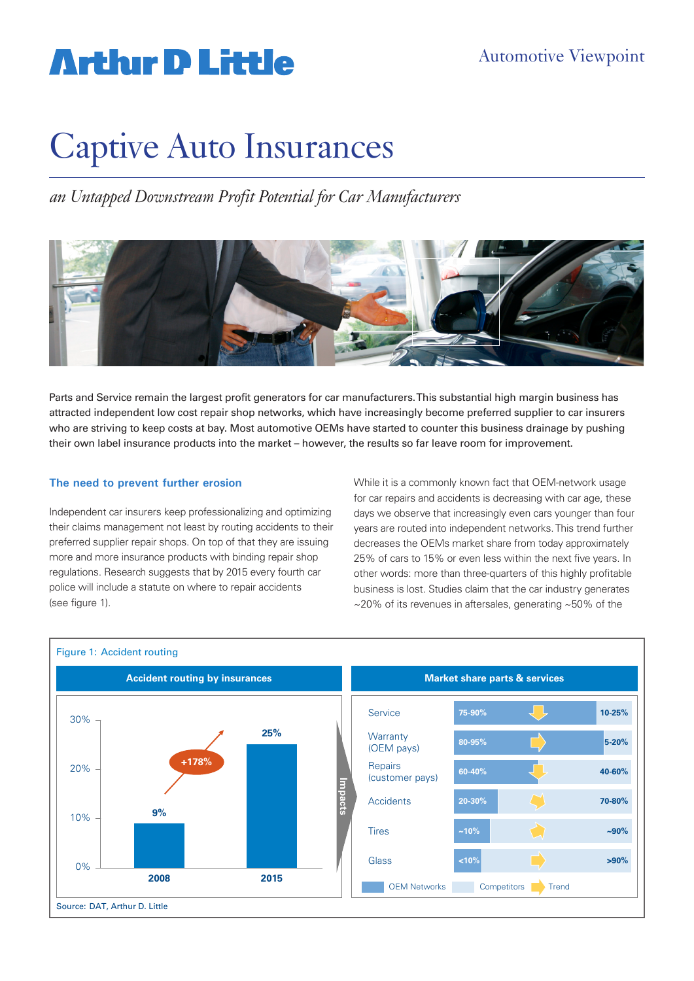# **Arthur D Little**

# Captive Auto Insurances

*an Untapped Downstream Profit Potential for Car Manufacturers*



Parts and Service remain the largest profit generators for car manufacturers. This substantial high margin business has attracted independent low cost repair shop networks, which have increasingly become preferred supplier to car insurers who are striving to keep costs at bay. Most automotive OEMs have started to counter this business drainage by pushing their own label insurance products into the market – however, the results so far leave room for improvement.

### **The need to prevent further erosion**

Independent car insurers keep professionalizing and optimizing their claims management not least by routing accidents to their preferred supplier repair shops. On top of that they are issuing more and more insurance products with binding repair shop regulations. Research suggests that by 2015 every fourth car police will include a statute on where to repair accidents (see figure 1).

While it is a commonly known fact that OEM-network usage for car repairs and accidents is decreasing with car age, these days we observe that increasingly even cars younger than four years are routed into independent networks. This trend further decreases the OEMs market share from today approximately 25% of cars to 15% or even less within the next five years. In other words: more than three-quarters of this highly profitable business is lost. Studies claim that the car industry generates ~20% of its revenues in aftersales, generating ~50% of the



### Figure 1: Accident routing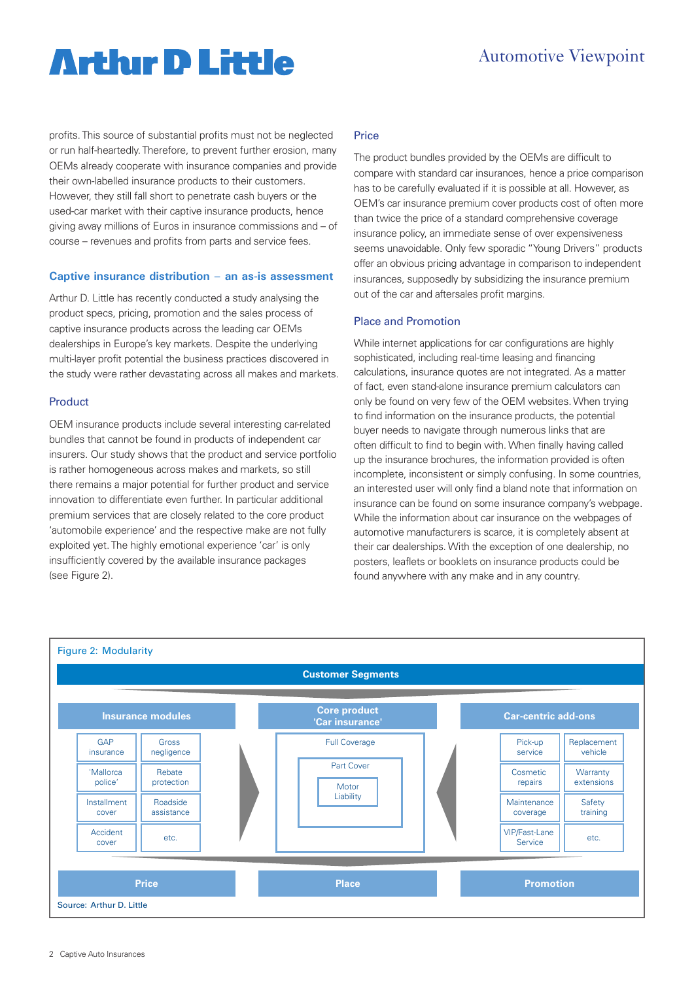### **Arthır D Little**

### Automotive Viewpoint

profits. This source of substantial profits must not be neglected or run half-heartedly. Therefore, to prevent further erosion, many OEMs already cooperate with insurance companies and provide their own-labelled insurance products to their customers. However, they still fall short to penetrate cash buyers or the used-car market with their captive insurance products, hence giving away millions of Euros in insurance commissions and – of course – revenues and profits from parts and service fees.

#### **Captive insurance distribution – an as-is assessment**

Arthur D. Little has recently conducted a study analysing the product specs, pricing, promotion and the sales process of captive insurance products across the leading car OEMs dealerships in Europe's key markets. Despite the underlying multi-layer profit potential the business practices discovered in the study were rather devastating across all makes and markets.

### Product

OEM insurance products include several interesting car-related bundles that cannot be found in products of independent car insurers. Our study shows that the product and service portfolio is rather homogeneous across makes and markets, so still there remains a major potential for further product and service innovation to differentiate even further. In particular additional premium services that are closely related to the core product 'automobile experience' and the respective make are not fully exploited yet. The highly emotional experience 'car' is only insufficiently covered by the available insurance packages (see Figure 2).

### Price

The product bundles provided by the OEMs are difficult to compare with standard car insurances, hence a price comparison has to be carefully evaluated if it is possible at all. However, as OEM's car insurance premium cover products cost of often more than twice the price of a standard comprehensive coverage insurance policy, an immediate sense of over expensiveness seems unavoidable. Only few sporadic "Young Drivers" products offer an obvious pricing advantage in comparison to independent insurances, supposedly by subsidizing the insurance premium out of the car and aftersales profit margins.

#### Place and Promotion

While internet applications for car configurations are highly sophisticated, including real-time leasing and financing calculations, insurance quotes are not integrated. As a matter of fact, even stand-alone insurance premium calculators can only be found on very few of the OEM websites. When trying to find information on the insurance products, the potential buyer needs to navigate through numerous links that are often difficult to find to begin with. When finally having called up the insurance brochures, the information provided is often incomplete, inconsistent or simply confusing. In some countries, an interested user will only find a bland note that information on insurance can be found on some insurance company's webpage. While the information about car insurance on the webpages of automotive manufacturers is scarce, it is completely absent at their car dealerships. With the exception of one dealership, no posters, leaflets or booklets on insurance products could be found anywhere with any make and in any country.

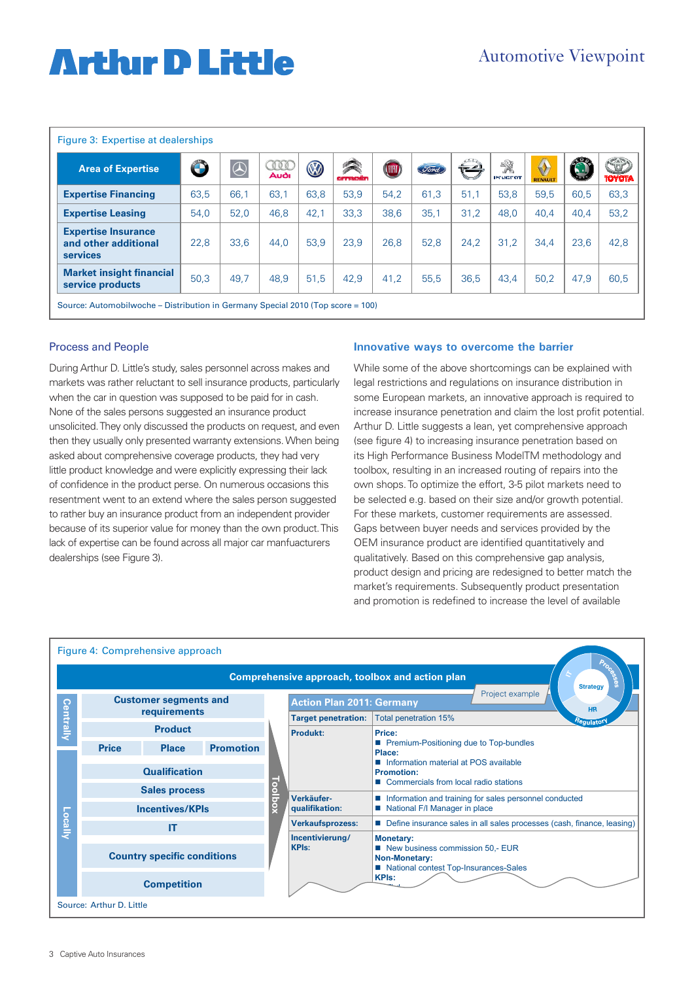# **Arthir D Little**

| Figure 3: Expertise at dealerships                                    |      |            |             |      |              |       |             |      |                     |              |      |                      |
|-----------------------------------------------------------------------|------|------------|-------------|------|--------------|-------|-------------|------|---------------------|--------------|------|----------------------|
| <b>Area of Expertise</b>                                              | O B  | $\bigcirc$ | TOO<br>Audi | O    | R<br>armedin | (UHI) | <u>Sond</u> |      | 繠<br><b>PEUGEOT</b> | ♦<br>RENAULT | SJ)  | SAP<br><b>TOYOTA</b> |
| <b>Expertise Financing</b>                                            | 63,5 | 66,1       | 63.1        | 63,8 | 53.9         | 54.2  | 61,3        | 51,1 | 53.8                | 59.5         | 60.5 | 63,3                 |
| <b>Expertise Leasing</b>                                              | 54,0 | 52,0       | 46,8        | 42,1 | 33,3         | 38,6  | 35,1        | 31,2 | 48,0                | 40,4         | 40,4 | 53,2                 |
| <b>Expertise Insurance</b><br>and other additional<br><b>services</b> | 22,8 | 33.6       | 44.0        | 53.9 | 23.9         | 26.8  | 52,8        | 24.2 | 31,2                | 34.4         | 23,6 | 42,8                 |
| <b>Market insight financial</b><br>service products                   | 50,3 | 49.7       | 48.9        | 51,5 | 42,9         | 41.2  | 55,5        | 36.5 | 43.4                | 50.2         | 47.9 | 60,5                 |

Source: Automobilwoche – Distribution in Germany Special 2010 (Top score = 100)

### Process and People

During Arthur D. Little's study, sales personnel across makes and markets was rather reluctant to sell insurance products, particularly when the car in question was supposed to be paid for in cash. None of the sales persons suggested an insurance product unsolicited. They only discussed the products on request, and even then they usually only presented warranty extensions. When being asked about comprehensive coverage products, they had very little product knowledge and were explicitly expressing their lack of confidence in the product perse. On numerous occasions this resentment went to an extend where the sales person suggested to rather buy an insurance product from an independent provider because of its superior value for money than the own product. This lack of expertise can be found across all major car manfuacturers dealerships (see Figure 3).

#### **Innovative ways to overcome the barrier**

While some of the above shortcomings can be explained with legal restrictions and regulations on insurance distribution in some European markets, an innovative approach is required to increase insurance penetration and claim the lost profit potential. Arthur D. Little suggests a lean, yet comprehensive approach (see figure 4) to increasing insurance penetration based on its High Performance Business ModelTM methodology and toolbox, resulting in an increased routing of repairs into the own shops. To optimize the effort, 3-5 pilot markets need to be selected e.g. based on their size and/or growth potential. For these markets, customer requirements are assessed. Gaps between buyer needs and services provided by the OEM insurance product are identified quantitatively and qualitatively. Based on this comprehensive gap analysis, product design and pricing are redesigned to better match the market's requirements. Subsequently product presentation and promotion is redefined to increase the level of available

|                                                                                 |                                              | Figure 4: Comprehensive approach |                  |                       |                                                                  |                                                                                                                                                                                          |  |  |  |  |
|---------------------------------------------------------------------------------|----------------------------------------------|----------------------------------|------------------|-----------------------|------------------------------------------------------------------|------------------------------------------------------------------------------------------------------------------------------------------------------------------------------------------|--|--|--|--|
| <b>RA</b><br>Comprehensive approach, toolbox and action plan<br><b>Strategy</b> |                                              |                                  |                  |                       |                                                                  |                                                                                                                                                                                          |  |  |  |  |
| Centrally                                                                       | <b>Customer segments and</b><br>requirements |                                  |                  |                       | Project example<br><b>Action Plan 2011: Germany</b><br><b>HR</b> |                                                                                                                                                                                          |  |  |  |  |
|                                                                                 |                                              |                                  |                  |                       | <b>Target penetration:</b>                                       | <b>Total penetration 15%</b><br><sup>Hegulatot</sup>                                                                                                                                     |  |  |  |  |
|                                                                                 | <b>Product</b>                               |                                  |                  |                       | <b>Produkt:</b>                                                  | Price:                                                                                                                                                                                   |  |  |  |  |
| Locally                                                                         | <b>Price</b>                                 | <b>Place</b>                     | <b>Promotion</b> |                       |                                                                  | ■ Premium-Positioning due to Top-bundles<br>Place:<br>Information material at POS available                                                                                              |  |  |  |  |
|                                                                                 | <b>Qualification</b>                         |                                  |                  | ō<br>$rac{1}{5}$<br>Š |                                                                  | <b>Promotion:</b><br>■ Commercials from local radio stations<br>Information and training for sales personnel conducted                                                                   |  |  |  |  |
|                                                                                 | <b>Sales process</b>                         |                                  |                  |                       | Verkäufer-                                                       |                                                                                                                                                                                          |  |  |  |  |
|                                                                                 | <b>Incentives/KPIs</b>                       |                                  |                  |                       | qualifikation:                                                   | National F/I Manager in place                                                                                                                                                            |  |  |  |  |
|                                                                                 | IT                                           |                                  |                  |                       | <b>Verkaufsprozess:</b><br>Incentivierung/<br><b>KPIs:</b>       | Define insurance sales in all sales processes (cash, finance, leasing)<br><b>Monetary:</b><br>New business commission 50,- EUR<br>Non-Monetary:<br>National contest Top-Insurances-Sales |  |  |  |  |
|                                                                                 |                                              |                                  |                  |                       |                                                                  |                                                                                                                                                                                          |  |  |  |  |
|                                                                                 | <b>Country specific conditions</b>           |                                  |                  |                       |                                                                  |                                                                                                                                                                                          |  |  |  |  |
|                                                                                 | <b>Competition</b>                           |                                  |                  |                       |                                                                  | <b>KPIs:</b>                                                                                                                                                                             |  |  |  |  |
|                                                                                 | Source: Arthur D. Little                     |                                  |                  |                       |                                                                  |                                                                                                                                                                                          |  |  |  |  |